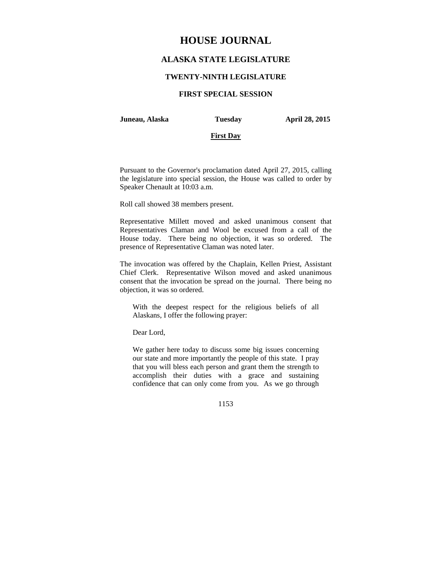# **HOUSE JOURNAL**

## **ALASKA STATE LEGISLATURE**

### **TWENTY-NINTH LEGISLATURE**

## **FIRST SPECIAL SESSION**

## **Juneau, Alaska Tuesday April 28, 2015**

### **First Day**

Pursuant to the Governor's proclamation dated April 27, 2015, calling the legislature into special session, the House was called to order by Speaker Chenault at 10:03 a.m.

Roll call showed 38 members present.

Representative Millett moved and asked unanimous consent that Representatives Claman and Wool be excused from a call of the House today. There being no objection, it was so ordered. The presence of Representative Claman was noted later.

The invocation was offered by the Chaplain, Kellen Priest, Assistant Chief Clerk. Representative Wilson moved and asked unanimous consent that the invocation be spread on the journal. There being no objection, it was so ordered.

With the deepest respect for the religious beliefs of all Alaskans, I offer the following prayer:

Dear Lord,

We gather here today to discuss some big issues concerning our state and more importantly the people of this state. I pray that you will bless each person and grant them the strength to accomplish their duties with a grace and sustaining confidence that can only come from you. As we go through

1153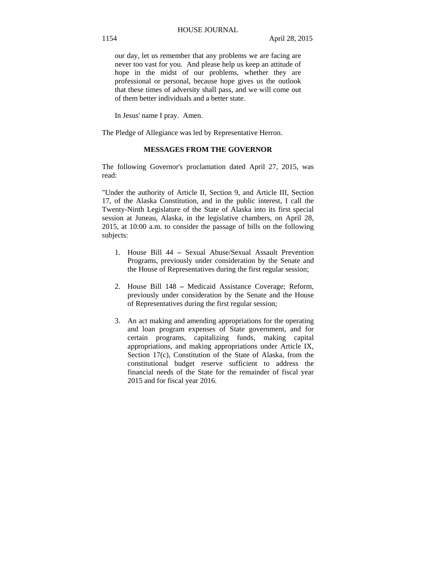our day, let us remember that any problems we are facing are never too vast for you. And please help us keep an attitude of hope in the midst of our problems, whether they are professional or personal, because hope gives us the outlook that these times of adversity shall pass, and we will come out of them better individuals and a better state.

In Jesus' name I pray. Amen.

The Pledge of Allegiance was led by Representative Herron.

### **MESSAGES FROM THE GOVERNOR**

The following Governor's proclamation dated April 27, 2015, was read:

"Under the authority of Article II, Section 9, and Article III, Section 17, of the Alaska Constitution, and in the public interest, I call the Twenty-Ninth Legislature of the State of Alaska into its first special session at Juneau, Alaska, in the legislative chambers, on April 28, 2015, at 10:00 a.m. to consider the passage of bills on the following subjects:

- 1. House Bill 44 Sexual Abuse/Sexual Assault Prevention Programs, previously under consideration by the Senate and the House of Representatives during the first regular session;
- 2. House Bill 148 Medicaid Assistance Coverage; Reform, previously under consideration by the Senate and the House of Representatives during the first regular session;
- 3. An act making and amending appropriations for the operating and loan program expenses of State government, and for certain programs, capitalizing funds, making capital appropriations, and making appropriations under Article IX, Section 17(c), Constitution of the State of Alaska, from the constitutional budget reserve sufficient to address the financial needs of the State for the remainder of fiscal year 2015 and for fiscal year 2016.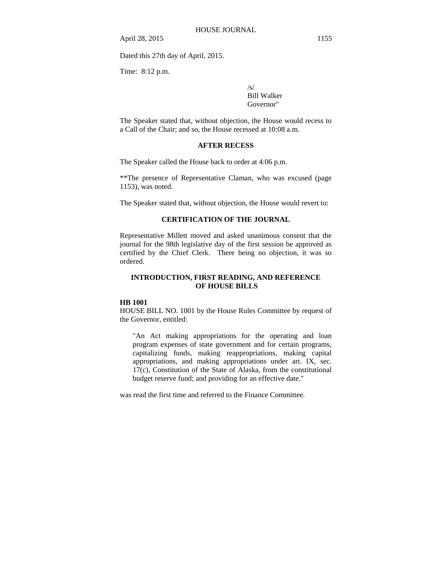April 28, 2015 1155

Dated this 27th day of April, 2015.

Time: 8:12 p.m.

 $\sqrt{s}$ Bill Walker Governor"

The Speaker stated that, without objection, the House would recess to a Call of the Chair; and so, the House recessed at 10:08 a.m.

### **AFTER RECESS**

The Speaker called the House back to order at 4:06 p.m.

\*\*The presence of Representative Claman, who was excused (page 1153), was noted.

The Speaker stated that, without objection, the House would revert to:

### **CERTIFICATION OF THE JOURNAL**

Representative Millett moved and asked unanimous consent that the journal for the 98th legislative day of the first session be approved as certified by the Chief Clerk. There being no objection, it was so ordered.

## **INTRODUCTION, FIRST READING, AND REFERENCE OF HOUSE BILLS**

#### **HB 1001**

HOUSE BILL NO. 1001 by the House Rules Committee by request of the Governor, entitled:

"An Act making appropriations for the operating and loan program expenses of state government and for certain programs, capitalizing funds, making reappropriations, making capital appropriations, and making appropriations under art. IX, sec. 17(c), Constitution of the State of Alaska, from the constitutional budget reserve fund; and providing for an effective date."

was read the first time and referred to the Finance Committee.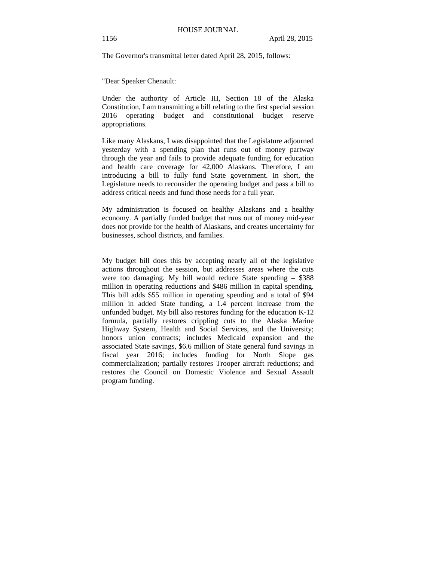The Governor's transmittal letter dated April 28, 2015, follows:

"Dear Speaker Chenault:

Under the authority of Article III, Section 18 of the Alaska Constitution, I am transmitting a bill relating to the first special session 2016 operating budget and constitutional budget reserve appropriations.

Like many Alaskans, I was disappointed that the Legislature adjourned yesterday with a spending plan that runs out of money partway through the year and fails to provide adequate funding for education and health care coverage for 42,000 Alaskans. Therefore, I am introducing a bill to fully fund State government. In short, the Legislature needs to reconsider the operating budget and pass a bill to address critical needs and fund those needs for a full year.

My administration is focused on healthy Alaskans and a healthy economy. A partially funded budget that runs out of money mid-year does not provide for the health of Alaskans, and creates uncertainty for businesses, school districts, and families.

My budget bill does this by accepting nearly all of the legislative actions throughout the session, but addresses areas where the cuts were too damaging. My bill would reduce State spending – \$388 million in operating reductions and \$486 million in capital spending. This bill adds \$55 million in operating spending and a total of \$94 million in added State funding, a 1.4 percent increase from the unfunded budget. My bill also restores funding for the education K-12 formula, partially restores crippling cuts to the Alaska Marine Highway System, Health and Social Services, and the University; honors union contracts; includes Medicaid expansion and the associated State savings, \$6.6 million of State general fund savings in fiscal year 2016; includes funding for North Slope gas commercialization; partially restores Trooper aircraft reductions; and restores the Council on Domestic Violence and Sexual Assault program funding.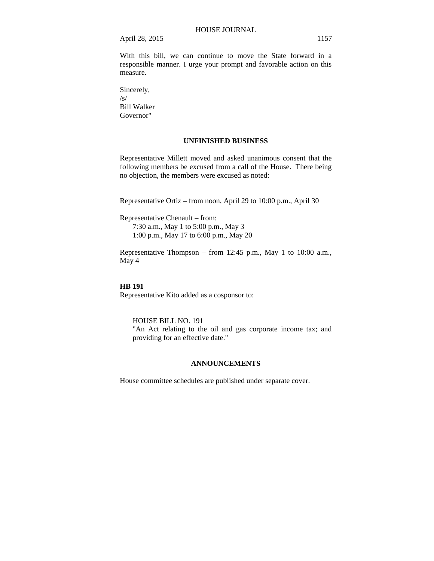April 28, 2015 1157

With this bill, we can continue to move the State forward in a responsible manner. I urge your prompt and favorable action on this measure.

Sincerely, /s/ Bill Walker Governor"

### **UNFINISHED BUSINESS**

Representative Millett moved and asked unanimous consent that the following members be excused from a call of the House. There being no objection, the members were excused as noted:

Representative Ortiz – from noon, April 29 to 10:00 p.m., April 30

Representative Chenault – from: 7:30 a.m., May 1 to 5:00 p.m., May 3

1:00 p.m., May 17 to 6:00 p.m., May 20

Representative Thompson – from 12:45 p.m., May 1 to 10:00 a.m., May 4

#### **HB 191**

Representative Kito added as a cosponsor to:

HOUSE BILL NO. 191 "An Act relating to the oil and gas corporate income tax; and providing for an effective date."

## **ANNOUNCEMENTS**

House committee schedules are published under separate cover.